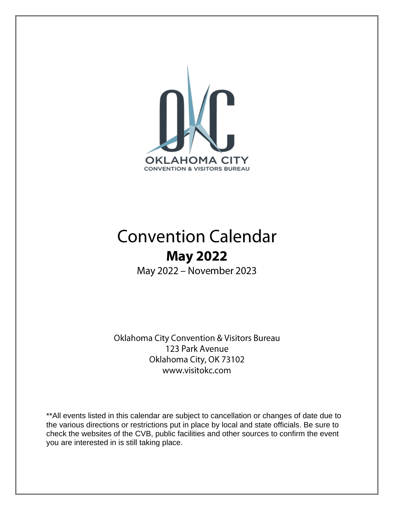

## **Convention Calendar May 2022**

May 2022 - November 2023

Oklahoma City Convention & Visitors Bureau 123 Park Avenue Oklahoma City, OK 73102 www.visitokc.com

\*\*All events listed in this calendar are subject to cancellation or changes of date due to the various directions or restrictions put in place by local and state officials. Be sure to check the websites of the CVB, public facilities and other sources to confirm the event you are interested in is still taking place.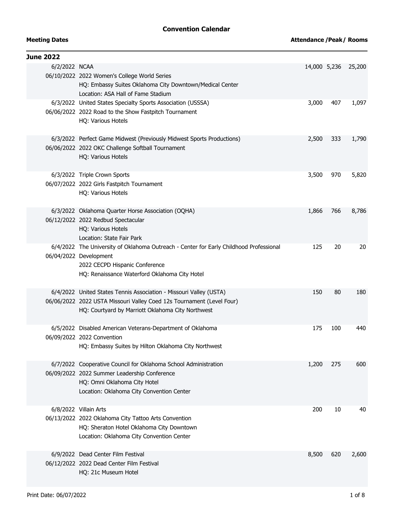## **Convention Calendar**

| <b>Meeting Dates</b> |  |
|----------------------|--|
|----------------------|--|

| <b>June 2022</b> |                                                                                                                                                                                                     |              |     |        |
|------------------|-----------------------------------------------------------------------------------------------------------------------------------------------------------------------------------------------------|--------------|-----|--------|
| 6/2/2022 NCAA    | 06/10/2022 2022 Women's College World Series<br>HQ: Embassy Suites Oklahoma City Downtown/Medical Center<br>Location: ASA Hall of Fame Stadium                                                      | 14,000 5,236 |     | 25,200 |
|                  | 6/3/2022 United States Specialty Sports Association (USSSA)<br>06/06/2022 2022 Road to the Show Fastpitch Tournament<br>HQ: Various Hotels                                                          | 3,000        | 407 | 1,097  |
|                  | 6/3/2022 Perfect Game Midwest (Previously Midwest Sports Productions)<br>06/06/2022 2022 OKC Challenge Softball Tournament<br>HQ: Various Hotels                                                    | 2,500        | 333 | 1,790  |
|                  | 6/3/2022 Triple Crown Sports<br>06/07/2022 2022 Girls Fastpitch Tournament<br>HQ: Various Hotels                                                                                                    | 3,500        | 970 | 5,820  |
|                  | 6/3/2022 Oklahoma Quarter Horse Association (OQHA)<br>06/12/2022 2022 Redbud Spectacular<br>HQ: Various Hotels<br>Location: State Fair Park                                                         | 1,866        | 766 | 8,786  |
|                  | 6/4/2022 The University of Oklahoma Outreach - Center for Early Childhood Professional<br>06/04/2022 Development<br>2022 CECPD Hispanic Conference<br>HQ: Renaissance Waterford Oklahoma City Hotel | 125          | 20  | 20     |
|                  | 6/4/2022 United States Tennis Association - Missouri Valley (USTA)<br>06/06/2022 2022 USTA Missouri Valley Coed 12s Tournament (Level Four)<br>HQ: Courtyard by Marriott Oklahoma City Northwest    | 150          | 80  | 180    |
|                  | 6/5/2022 Disabled American Veterans-Department of Oklahoma<br>06/09/2022 2022 Convention<br>HQ: Embassy Suites by Hilton Oklahoma City Northwest                                                    | 175          | 100 | 440    |
|                  | 6/7/2022 Cooperative Council for Oklahoma School Administration<br>06/09/2022 2022 Summer Leadership Conference<br>HQ: Omni Oklahoma City Hotel<br>Location: Oklahoma City Convention Center        | 1,200        | 275 | 600    |
|                  | 6/8/2022 Villain Arts<br>06/13/2022 2022 Oklahoma City Tattoo Arts Convention<br>HQ: Sheraton Hotel Oklahoma City Downtown<br>Location: Oklahoma City Convention Center                             | 200          | 10  | 40     |
|                  | 6/9/2022 Dead Center Film Festival<br>06/12/2022 2022 Dead Center Film Festival<br>HQ: 21c Museum Hotel                                                                                             | 8,500        | 620 | 2,600  |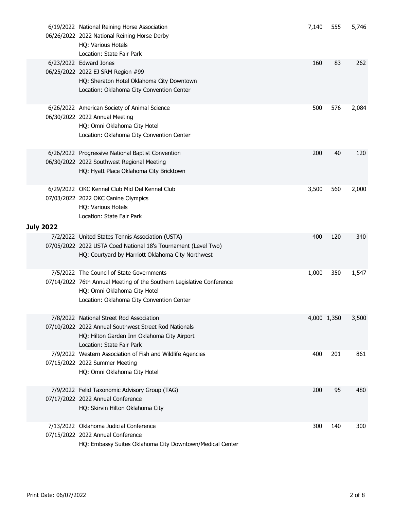|                  | 6/19/2022 National Reining Horse Association<br>06/26/2022 2022 National Reining Horse Derby<br>HQ: Various Hotels<br>Location: State Fair Park                                                 | 7,140 | 555         | 5,746 |
|------------------|-------------------------------------------------------------------------------------------------------------------------------------------------------------------------------------------------|-------|-------------|-------|
|                  | 6/23/2022 Edward Jones<br>06/25/2022 2022 EJ SRM Region #99<br>HQ: Sheraton Hotel Oklahoma City Downtown<br>Location: Oklahoma City Convention Center                                           | 160   | 83          | 262   |
|                  | 6/26/2022 American Society of Animal Science<br>06/30/2022 2022 Annual Meeting<br>HQ: Omni Oklahoma City Hotel<br>Location: Oklahoma City Convention Center                                     | 500   | 576         | 2,084 |
|                  | 6/26/2022 Progressive National Baptist Convention<br>06/30/2022 2022 Southwest Regional Meeting<br>HQ: Hyatt Place Oklahoma City Bricktown                                                      | 200   | 40          | 120   |
|                  | 6/29/2022 OKC Kennel Club Mid Del Kennel Club<br>07/03/2022 2022 OKC Canine Olympics<br>HQ: Various Hotels<br>Location: State Fair Park                                                         | 3,500 | 560         | 2,000 |
| <b>July 2022</b> |                                                                                                                                                                                                 |       |             |       |
|                  | 7/2/2022 United States Tennis Association (USTA)<br>07/05/2022 2022 USTA Coed National 18's Tournament (Level Two)<br>HQ: Courtyard by Marriott Oklahoma City Northwest                         | 400   | 120         | 340   |
|                  | 7/5/2022 The Council of State Governments<br>07/14/2022 76th Annual Meeting of the Southern Legislative Conference<br>HQ: Omni Oklahoma City Hotel<br>Location: Oklahoma City Convention Center | 1,000 | 350         | 1,547 |
|                  | 7/8/2022 National Street Rod Association<br>07/10/2022 2022 Annual Southwest Street Rod Nationals<br>HQ: Hilton Garden Inn Oklahoma City Airport<br>Location: State Fair Park                   |       | 4,000 1,350 | 3,500 |
|                  | 7/9/2022 Western Association of Fish and Wildlife Agencies<br>07/15/2022 2022 Summer Meeting<br>HQ: Omni Oklahoma City Hotel                                                                    | 400   | 201         | 861   |
|                  | 7/9/2022 Felid Taxonomic Advisory Group (TAG)<br>07/17/2022 2022 Annual Conference<br>HQ: Skirvin Hilton Oklahoma City                                                                          | 200   | 95          | 480   |
|                  | 7/13/2022 Oklahoma Judicial Conference<br>07/15/2022 2022 Annual Conference<br>HQ: Embassy Suites Oklahoma City Downtown/Medical Center                                                         | 300   | 140         | 300   |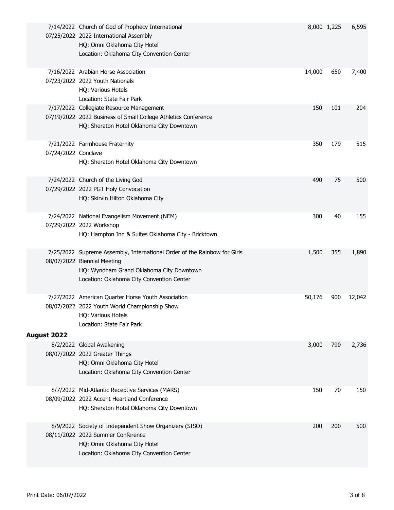|                     | 7/14/2022 Church of God of Prophecy International<br>07/25/2022 2022 International Assembly<br>HQ: Omni Oklahoma City Hotel<br>Location: Oklahoma City Convention Center                         |        | 8,000 1,225 | 6,595  |
|---------------------|--------------------------------------------------------------------------------------------------------------------------------------------------------------------------------------------------|--------|-------------|--------|
|                     | 7/16/2022 Arabian Horse Association<br>07/23/2022 2022 Youth Nationals<br>HQ: Various Hotels<br>Location: State Fair Park                                                                        | 14,000 | 650         | 7,400  |
|                     | 7/17/2022 Collegiate Resource Management<br>07/19/2022 2022 Business of Small College Athletics Conference<br>HQ: Sheraton Hotel Oklahoma City Downtown                                          | 150    | 101         | 204    |
| 07/24/2022 Conclave | 7/21/2022 Farmhouse Fraternity<br>HQ: Sheraton Hotel Oklahoma City Downtown                                                                                                                      | 350    | 179         | 515    |
|                     | 7/24/2022 Church of the Living God<br>07/29/2022 2022 PGT Holy Convocation<br>HQ: Skirvin Hilton Oklahoma City                                                                                   | 490    | 75          | 500    |
|                     | 7/24/2022 National Evangelism Movement (NEM)<br>07/29/2022 2022 Workshop<br>HQ: Hampton Inn & Suites Oklahoma City - Bricktown                                                                   | 300    | 40          | 155    |
|                     | 7/25/2022 Supreme Assembly, International Order of the Rainbow for Girls<br>08/07/2022 Biennial Meeting<br>HQ: Wyndham Grand Oklahoma City Downtown<br>Location: Oklahoma City Convention Center | 1,500  | 355         | 1,890  |
|                     | 7/27/2022 American Quarter Horse Youth Association<br>08/07/2022 2022 Youth World Championship Show<br>HQ: Various Hotels<br>Location: State Fair Park                                           | 50,176 | 900         | 12,042 |
| August 2022         | 8/2/2022 Global Awakening<br>08/07/2022 2022 Greater Things<br>HQ: Omni Oklahoma City Hotel<br>Location: Oklahoma City Convention Center                                                         | 3,000  | 790         | 2,736  |
|                     | 8/7/2022 Mid-Atlantic Receptive Services (MARS)<br>08/09/2022 2022 Accent Heartland Conference<br>HQ: Sheraton Hotel Oklahoma City Downtown                                                      | 150    | 70          | 150    |
|                     | 8/9/2022 Society of Independent Show Organizers (SISO)<br>08/11/2022 2022 Summer Conference<br>HQ: Omni Oklahoma City Hotel<br>Location: Oklahoma City Convention Center                         | 200    | 200         | 500    |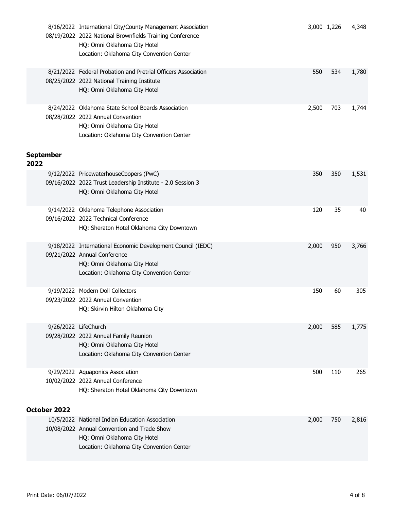|      |                      | 8/16/2022 International City/County Management Association<br>08/19/2022 2022 National Brownfields Training Conference<br>HQ: Omni Oklahoma City Hotel<br>Location: Oklahoma City Convention Center |       | 3,000 1,226 | 4,348 |
|------|----------------------|-----------------------------------------------------------------------------------------------------------------------------------------------------------------------------------------------------|-------|-------------|-------|
|      |                      | 8/21/2022 Federal Probation and Pretrial Officers Association<br>08/25/2022 2022 National Training Institute<br>HQ: Omni Oklahoma City Hotel                                                        | 550   | 534         | 1,780 |
|      | September            | 8/24/2022 Oklahoma State School Boards Association<br>08/28/2022 2022 Annual Convention<br>HQ: Omni Oklahoma City Hotel<br>Location: Oklahoma City Convention Center                                | 2,500 | 703         | 1,744 |
| 2022 |                      | 9/12/2022 PricewaterhouseCoopers (PwC)<br>09/16/2022 2022 Trust Leadership Institute - 2.0 Session 3<br>HQ: Omni Oklahoma City Hotel                                                                | 350   | 350         | 1,531 |
|      |                      | 9/14/2022 Oklahoma Telephone Association<br>09/16/2022 2022 Technical Conference<br>HQ: Sheraton Hotel Oklahoma City Downtown                                                                       | 120   | 35          | 40    |
|      |                      | 9/18/2022 International Economic Development Council (IEDC)<br>09/21/2022 Annual Conference<br>HQ: Omni Oklahoma City Hotel<br>Location: Oklahoma City Convention Center                            | 2,000 | 950         | 3,766 |
|      |                      | 9/19/2022 Modern Doll Collectors<br>09/23/2022 2022 Annual Convention<br>HQ: Skirvin Hilton Oklahoma City                                                                                           | 150   | 60          | 305   |
|      | 9/26/2022 LifeChurch | 09/28/2022 2022 Annual Family Reunion<br>HQ: Omni Oklahoma City Hotel<br>Location: Oklahoma City Convention Center                                                                                  | 2,000 | 585         | 1,775 |
|      |                      | 9/29/2022 Aquaponics Association<br>10/02/2022 2022 Annual Conference<br>HQ: Sheraton Hotel Oklahoma City Downtown                                                                                  | 500   | 110         | 265   |
|      | October 2022         |                                                                                                                                                                                                     |       |             |       |
|      |                      | 10/5/2022 National Indian Education Association<br>10/08/2022 Annual Convention and Trade Show<br>HQ: Omni Oklahoma City Hotel<br>Location: Oklahoma City Convention Center                         | 2,000 | 750         | 2,816 |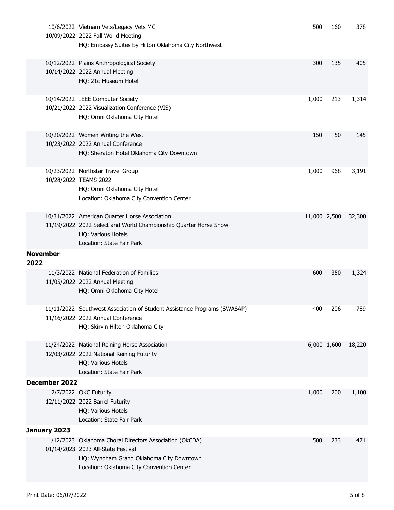|      |                 | 10/6/2022 Vietnam Vets/Legacy Vets MC<br>10/09/2022 2022 Fall World Meeting<br>HQ: Embassy Suites by Hilton Oklahoma City Northwest                                                    | 500          | 160         | 378    |
|------|-----------------|----------------------------------------------------------------------------------------------------------------------------------------------------------------------------------------|--------------|-------------|--------|
|      |                 | 10/12/2022 Plains Anthropological Society<br>10/14/2022 2022 Annual Meeting<br>HQ: 21c Museum Hotel                                                                                    | 300          | 135         | 405    |
|      |                 | 10/14/2022 IEEE Computer Society<br>10/21/2022 2022 Visualization Conference (VIS)<br>HQ: Omni Oklahoma City Hotel                                                                     | 1,000        | 213         | 1,314  |
|      |                 | 10/20/2022 Women Writing the West<br>10/23/2022 2022 Annual Conference<br>HQ: Sheraton Hotel Oklahoma City Downtown                                                                    | 150          | 50          | 145    |
|      |                 | 10/23/2022 Northstar Travel Group<br>10/28/2022 TEAMS 2022<br>HQ: Omni Oklahoma City Hotel<br>Location: Oklahoma City Convention Center                                                | 1,000        | 968         | 3,191  |
|      |                 | 10/31/2022 American Quarter Horse Association<br>11/19/2022 2022 Select and World Championship Quarter Horse Show<br>HQ: Various Hotels<br>Location: State Fair Park                   | 11,000 2,500 |             | 32,300 |
| 2022 | <b>November</b> |                                                                                                                                                                                        |              |             |        |
|      |                 | 11/3/2022 National Federation of Families<br>11/05/2022 2022 Annual Meeting<br>HQ: Omni Oklahoma City Hotel                                                                            | 600          | 350         | 1,324  |
|      |                 | 11/11/2022 Southwest Association of Student Assistance Programs (SWASAP)<br>11/16/2022 2022 Annual Conference<br>HQ: Skirvin Hilton Oklahoma City                                      | 400          | 206         | 789    |
|      |                 | 11/24/2022 National Reining Horse Association<br>12/03/2022 2022 National Reining Futurity<br>HQ: Various Hotels<br>Location: State Fair Park                                          |              | 6,000 1,600 | 18,220 |
|      | December 2022   |                                                                                                                                                                                        |              |             |        |
|      |                 | 12/7/2022 OKC Futurity<br>12/11/2022 2022 Barrel Futurity<br>HQ: Various Hotels<br>Location: State Fair Park                                                                           | 1,000        | 200         | 1,100  |
|      | January 2023    |                                                                                                                                                                                        |              |             |        |
|      |                 | 1/12/2023 Oklahoma Choral Directors Association (OkCDA)<br>01/14/2023 2023 All-State Festival<br>HQ: Wyndham Grand Oklahoma City Downtown<br>Location: Oklahoma City Convention Center | 500          | 233         | 471    |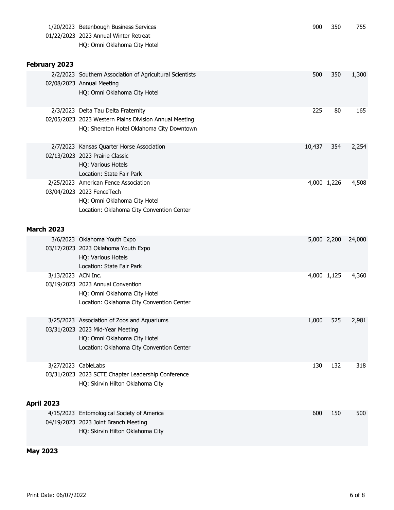|                     | 1/20/2023 Betenbough Business Services<br>01/22/2023 2023 Annual Winter Retreat<br>HQ: Omni Oklahoma City Hotel                                              | 900    | 350         | 755    |
|---------------------|--------------------------------------------------------------------------------------------------------------------------------------------------------------|--------|-------------|--------|
| February 2023       |                                                                                                                                                              |        |             |        |
|                     | 2/2/2023 Southern Association of Agricultural Scientists<br>02/08/2023 Annual Meeting<br>HQ: Omni Oklahoma City Hotel                                        | 500    | 350         | 1,300  |
|                     | 2/3/2023 Delta Tau Delta Fraternity<br>02/05/2023 2023 Western Plains Division Annual Meeting<br>HQ: Sheraton Hotel Oklahoma City Downtown                   | 225    | 80          | 165    |
|                     | 2/7/2023 Kansas Quarter Horse Association<br>02/13/2023 2023 Prairie Classic<br>HQ: Various Hotels<br>Location: State Fair Park                              | 10,437 | 354         | 2,254  |
|                     | 2/25/2023 American Fence Association<br>03/04/2023 2023 FenceTech<br>HQ: Omni Oklahoma City Hotel<br>Location: Oklahoma City Convention Center               |        | 4,000 1,226 | 4,508  |
| <b>March 2023</b>   |                                                                                                                                                              |        |             |        |
|                     | 3/6/2023 Oklahoma Youth Expo<br>03/17/2023 2023 Oklahoma Youth Expo<br>HQ: Various Hotels<br>Location: State Fair Park                                       |        | 5,000 2,200 | 24,000 |
| 3/13/2023 ACN Inc.  | 03/19/2023 2023 Annual Convention<br>HQ: Omni Oklahoma City Hotel<br>Location: Oklahoma City Convention Center                                               |        | 4,000 1,125 | 4,360  |
|                     | 3/25/2023 Association of Zoos and Aquariums<br>03/31/2023 2023 Mid-Year Meeting<br>HQ: Omni Oklahoma City Hotel<br>Location: Oklahoma City Convention Center | 1,000  | 525         | 2,981  |
| 3/27/2023 CableLabs | 03/31/2023 2023 SCTE Chapter Leadership Conference<br>HQ: Skirvin Hilton Oklahoma City                                                                       | 130    | 132         | 318    |
| <b>April 2023</b>   | 4/15/2023 Entomological Society of America                                                                                                                   | 600    | 150         | 500    |
|                     | 04/19/2023 2023 Joint Branch Meeting<br>HQ: Skirvin Hilton Oklahoma City                                                                                     |        |             |        |

## **May 2023**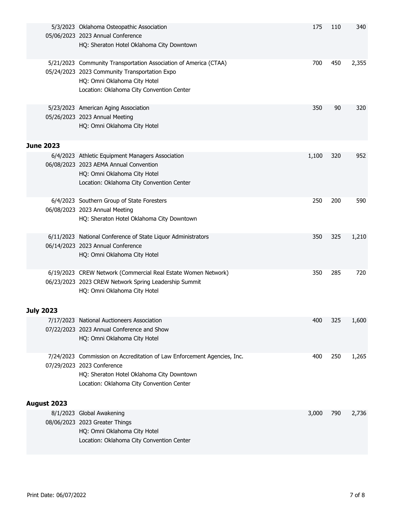|                  | 5/3/2023 Oklahoma Osteopathic Association<br>05/06/2023 2023 Annual Conference<br>HQ: Sheraton Hotel Oklahoma City Downtown                                                                     | 175   | 110 | 340   |
|------------------|-------------------------------------------------------------------------------------------------------------------------------------------------------------------------------------------------|-------|-----|-------|
|                  | 5/21/2023 Community Transportation Association of America (CTAA)<br>05/24/2023 2023 Community Transportation Expo<br>HQ: Omni Oklahoma City Hotel<br>Location: Oklahoma City Convention Center  | 700   | 450 | 2,355 |
|                  | 5/23/2023 American Aging Association<br>05/26/2023 2023 Annual Meeting<br>HQ: Omni Oklahoma City Hotel                                                                                          | 350   | 90  | 320   |
| <b>June 2023</b> |                                                                                                                                                                                                 |       |     |       |
|                  | 6/4/2023 Athletic Equipment Managers Association<br>06/08/2023 2023 AEMA Annual Convention<br>HQ: Omni Oklahoma City Hotel<br>Location: Oklahoma City Convention Center                         | 1,100 | 320 | 952   |
|                  | 6/4/2023 Southern Group of State Foresters<br>06/08/2023 2023 Annual Meeting<br>HQ: Sheraton Hotel Oklahoma City Downtown                                                                       | 250   | 200 | 590   |
|                  | 6/11/2023 National Conference of State Liquor Administrators<br>06/14/2023 2023 Annual Conference<br>HQ: Omni Oklahoma City Hotel                                                               | 350   | 325 | 1,210 |
|                  | 6/19/2023 CREW Network (Commercial Real Estate Women Network)<br>06/23/2023 2023 CREW Network Spring Leadership Summit<br>HQ: Omni Oklahoma City Hotel                                          | 350   | 285 | 720   |
| July 2023        |                                                                                                                                                                                                 |       |     |       |
|                  | 7/17/2023 National Auctioneers Association<br>07/22/2023 2023 Annual Conference and Show<br>HQ: Omni Oklahoma City Hotel                                                                        | 400   | 325 | 1,600 |
|                  | 7/24/2023 Commission on Accreditation of Law Enforcement Agencies, Inc.<br>07/29/2023 2023 Conference<br>HQ: Sheraton Hotel Oklahoma City Downtown<br>Location: Oklahoma City Convention Center | 400   | 250 | 1,265 |
| August 2023      |                                                                                                                                                                                                 |       |     |       |
|                  | 8/1/2023 Global Awakening<br>08/06/2023 2023 Greater Things<br>HQ: Omni Oklahoma City Hotel<br>Location: Oklahoma City Convention Center                                                        | 3,000 | 790 | 2,736 |